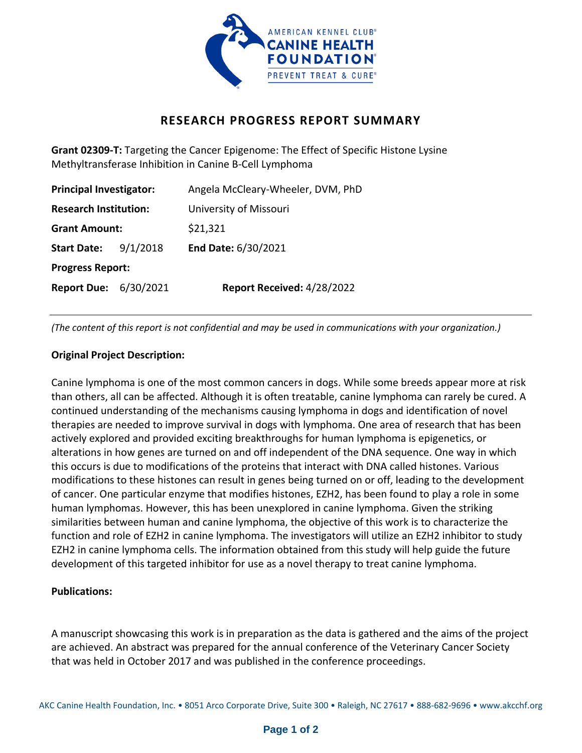

# **RESEARCH PROGRESS REPORT SUMMARY**

**Grant 02309-T:** Targeting the Cancer Epigenome: The Effect of Specific Histone Lysine Methyltransferase Inhibition in Canine B-Cell Lymphoma

| <b>Principal Investigator:</b> |          | Angela McCleary-Wheeler, DVM, PhD |
|--------------------------------|----------|-----------------------------------|
| <b>Research Institution:</b>   |          | University of Missouri            |
| <b>Grant Amount:</b>           |          | \$21,321                          |
| <b>Start Date:</b>             | 9/1/2018 | End Date: 6/30/2021               |
| <b>Progress Report:</b>        |          |                                   |
| <b>Report Due: 6/30/2021</b>   |          | Report Received: 4/28/2022        |

*(The content of this report is not confidential and may be used in communications with your organization.)*

## **Original Project Description:**

Canine lymphoma is one of the most common cancers in dogs. While some breeds appear more at risk than others, all can be affected. Although it is often treatable, canine lymphoma can rarely be cured. A continued understanding of the mechanisms causing lymphoma in dogs and identification of novel therapies are needed to improve survival in dogs with lymphoma. One area of research that has been actively explored and provided exciting breakthroughs for human lymphoma is epigenetics, or alterations in how genes are turned on and off independent of the DNA sequence. One way in which this occurs is due to modifications of the proteins that interact with DNA called histones. Various modifications to these histones can result in genes being turned on or off, leading to the development of cancer. One particular enzyme that modifies histones, EZH2, has been found to play a role in some human lymphomas. However, this has been unexplored in canine lymphoma. Given the striking similarities between human and canine lymphoma, the objective of this work is to characterize the function and role of EZH2 in canine lymphoma. The investigators will utilize an EZH2 inhibitor to study EZH2 in canine lymphoma cells. The information obtained from this study will help guide the future development of this targeted inhibitor for use as a novel therapy to treat canine lymphoma.

#### **Publications:**

A manuscript showcasing this work is in preparation as the data is gathered and the aims of the project are achieved. An abstract was prepared for the annual conference of the Veterinary Cancer Society that was held in October 2017 and was published in the conference proceedings.